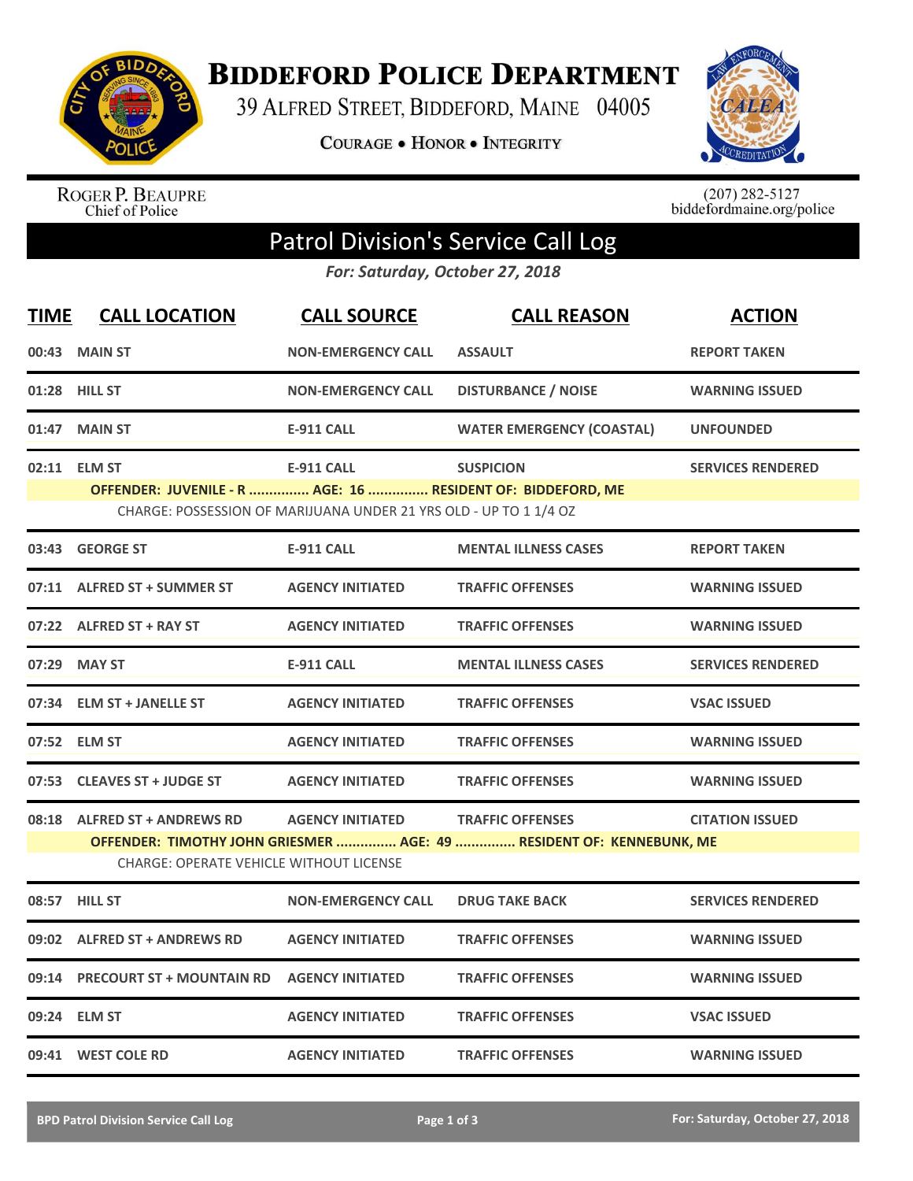

**BIDDEFORD POLICE DEPARTMENT** 

39 ALFRED STREET, BIDDEFORD, MAINE 04005

**COURAGE . HONOR . INTEGRITY** 



ROGER P. BEAUPRE<br>Chief of Police

 $(207)$  282-5127<br>biddefordmaine.org/police

## Patrol Division's Service Call Log

*For: Saturday, October 27, 2018*

| <b>TIME</b>                                                       | <b>CALL LOCATION</b>                           | <b>CALL SOURCE</b>        | <b>CALL REASON</b>                                                   | <b>ACTION</b>            |  |  |  |
|-------------------------------------------------------------------|------------------------------------------------|---------------------------|----------------------------------------------------------------------|--------------------------|--|--|--|
|                                                                   | 00:43 MAIN ST                                  | <b>NON-EMERGENCY CALL</b> | <b>ASSAULT</b>                                                       | <b>REPORT TAKEN</b>      |  |  |  |
|                                                                   | 01:28 HILL ST                                  | <b>NON-EMERGENCY CALL</b> | <b>DISTURBANCE / NOISE</b>                                           | <b>WARNING ISSUED</b>    |  |  |  |
| 01:47                                                             | <b>MAIN ST</b>                                 | <b>E-911 CALL</b>         | <b>WATER EMERGENCY (COASTAL)</b>                                     | <b>UNFOUNDED</b>         |  |  |  |
|                                                                   | 02:11 ELM ST                                   | <b>E-911 CALL</b>         | <b>SUSPICION</b>                                                     | <b>SERVICES RENDERED</b> |  |  |  |
| OFFENDER: JUVENILE - R  AGE: 16  RESIDENT OF: BIDDEFORD, ME       |                                                |                           |                                                                      |                          |  |  |  |
| CHARGE: POSSESSION OF MARIJUANA UNDER 21 YRS OLD - UP TO 1 1/4 OZ |                                                |                           |                                                                      |                          |  |  |  |
| 03:43                                                             | <b>GEORGE ST</b>                               | <b>E-911 CALL</b>         | <b>MENTAL ILLNESS CASES</b>                                          | <b>REPORT TAKEN</b>      |  |  |  |
| 07:11                                                             | <b>ALFRED ST + SUMMER ST</b>                   | <b>AGENCY INITIATED</b>   | <b>TRAFFIC OFFENSES</b>                                              | <b>WARNING ISSUED</b>    |  |  |  |
|                                                                   | 07:22 ALFRED ST + RAY ST                       | <b>AGENCY INITIATED</b>   | <b>TRAFFIC OFFENSES</b>                                              | <b>WARNING ISSUED</b>    |  |  |  |
| 07:29                                                             | <b>MAY ST</b>                                  | <b>E-911 CALL</b>         | <b>MENTAL ILLNESS CASES</b>                                          | <b>SERVICES RENDERED</b> |  |  |  |
|                                                                   | 07:34 ELM ST + JANELLE ST                      | <b>AGENCY INITIATED</b>   | <b>TRAFFIC OFFENSES</b>                                              | <b>VSAC ISSUED</b>       |  |  |  |
|                                                                   | 07:52 ELM ST                                   | <b>AGENCY INITIATED</b>   | <b>TRAFFIC OFFENSES</b>                                              | <b>WARNING ISSUED</b>    |  |  |  |
|                                                                   | 07:53 CLEAVES ST + JUDGE ST                    | <b>AGENCY INITIATED</b>   | <b>TRAFFIC OFFENSES</b>                                              | <b>WARNING ISSUED</b>    |  |  |  |
| 08:18                                                             | <b>ALFRED ST + ANDREWS RD</b>                  | <b>AGENCY INITIATED</b>   | <b>TRAFFIC OFFENSES</b>                                              | <b>CITATION ISSUED</b>   |  |  |  |
|                                                                   |                                                |                           | OFFENDER: TIMOTHY JOHN GRIESMER  AGE: 49  RESIDENT OF: KENNEBUNK, ME |                          |  |  |  |
|                                                                   | <b>CHARGE: OPERATE VEHICLE WITHOUT LICENSE</b> |                           |                                                                      |                          |  |  |  |
|                                                                   | 08:57 HILL ST                                  | <b>NON-EMERGENCY CALL</b> | <b>DRUG TAKE BACK</b>                                                | <b>SERVICES RENDERED</b> |  |  |  |
| 09:02                                                             | <b>ALFRED ST + ANDREWS RD</b>                  | <b>AGENCY INITIATED</b>   | <b>TRAFFIC OFFENSES</b>                                              | <b>WARNING ISSUED</b>    |  |  |  |
| 09:14                                                             | <b>PRECOURT ST + MOUNTAIN RD</b>               | <b>AGENCY INITIATED</b>   | <b>TRAFFIC OFFENSES</b>                                              | <b>WARNING ISSUED</b>    |  |  |  |
|                                                                   | 09:24 ELM ST                                   | <b>AGENCY INITIATED</b>   | <b>TRAFFIC OFFENSES</b>                                              | <b>VSAC ISSUED</b>       |  |  |  |
|                                                                   | 09:41 WEST COLE RD                             | <b>AGENCY INITIATED</b>   | <b>TRAFFIC OFFENSES</b>                                              | <b>WARNING ISSUED</b>    |  |  |  |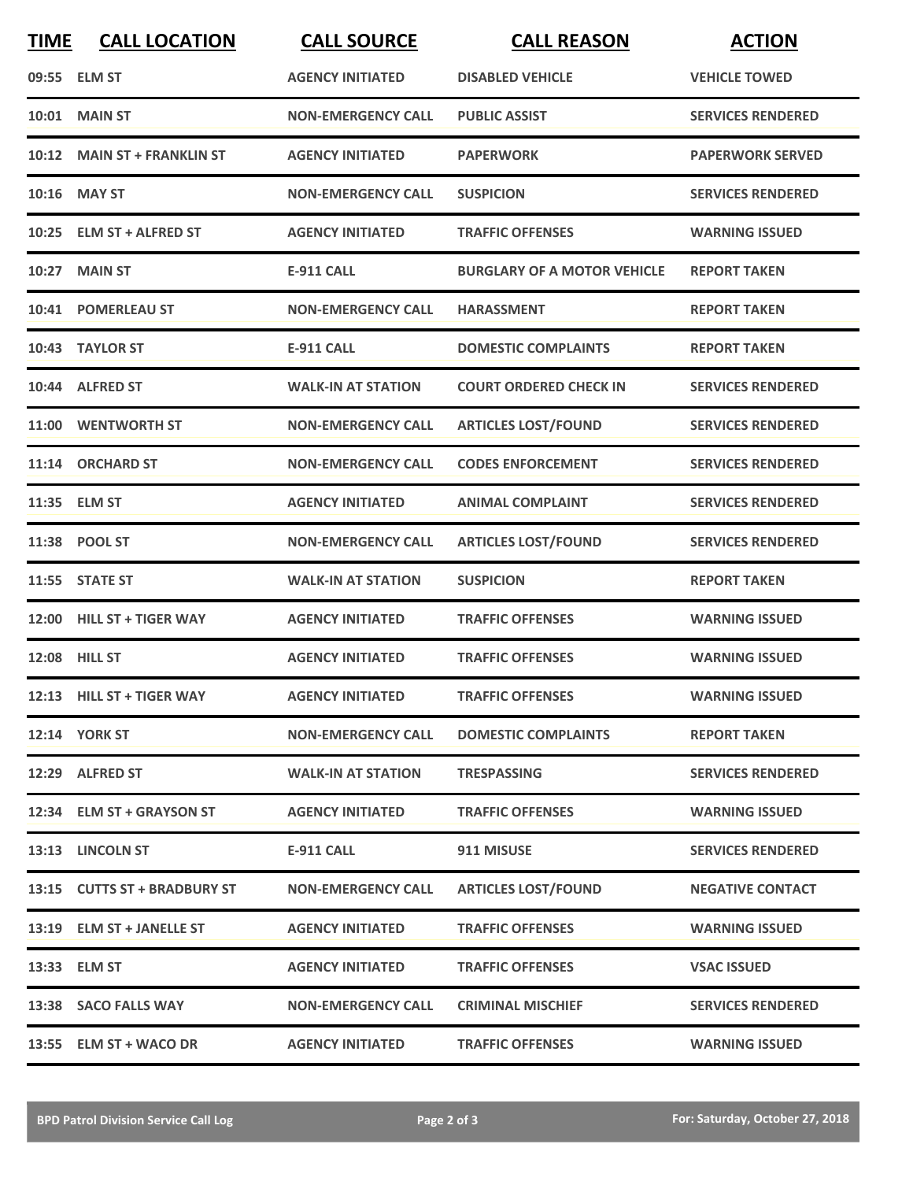| <b>TIME</b> | <b>CALL LOCATION</b>         | <b>CALL SOURCE</b>        | <b>CALL REASON</b>                 | <b>ACTION</b>            |
|-------------|------------------------------|---------------------------|------------------------------------|--------------------------|
|             | 09:55 ELM ST                 | <b>AGENCY INITIATED</b>   | <b>DISABLED VEHICLE</b>            | <b>VEHICLE TOWED</b>     |
| 10:01       | <b>MAIN ST</b>               | <b>NON-EMERGENCY CALL</b> | <b>PUBLIC ASSIST</b>               | <b>SERVICES RENDERED</b> |
|             | 10:12 MAIN ST + FRANKLIN ST  | <b>AGENCY INITIATED</b>   | <b>PAPERWORK</b>                   | <b>PAPERWORK SERVED</b>  |
|             | 10:16 MAY ST                 | <b>NON-EMERGENCY CALL</b> | <b>SUSPICION</b>                   | <b>SERVICES RENDERED</b> |
|             | 10:25 ELM ST + ALFRED ST     | <b>AGENCY INITIATED</b>   | <b>TRAFFIC OFFENSES</b>            | <b>WARNING ISSUED</b>    |
| 10:27       | <b>MAIN ST</b>               | <b>E-911 CALL</b>         | <b>BURGLARY OF A MOTOR VEHICLE</b> | <b>REPORT TAKEN</b>      |
|             | 10:41 POMERLEAU ST           | <b>NON-EMERGENCY CALL</b> | <b>HARASSMENT</b>                  | <b>REPORT TAKEN</b>      |
|             | 10:43 TAYLOR ST              | <b>E-911 CALL</b>         | <b>DOMESTIC COMPLAINTS</b>         | <b>REPORT TAKEN</b>      |
|             | 10:44 ALFRED ST              | <b>WALK-IN AT STATION</b> | <b>COURT ORDERED CHECK IN</b>      | <b>SERVICES RENDERED</b> |
| 11:00       | <b>WENTWORTH ST</b>          | <b>NON-EMERGENCY CALL</b> | <b>ARTICLES LOST/FOUND</b>         | <b>SERVICES RENDERED</b> |
|             | 11:14 ORCHARD ST             | <b>NON-EMERGENCY CALL</b> | <b>CODES ENFORCEMENT</b>           | <b>SERVICES RENDERED</b> |
|             | 11:35 ELM ST                 | <b>AGENCY INITIATED</b>   | <b>ANIMAL COMPLAINT</b>            | <b>SERVICES RENDERED</b> |
|             | 11:38 POOL ST                | <b>NON-EMERGENCY CALL</b> | <b>ARTICLES LOST/FOUND</b>         | <b>SERVICES RENDERED</b> |
|             | 11:55 STATE ST               | <b>WALK-IN AT STATION</b> | <b>SUSPICION</b>                   | <b>REPORT TAKEN</b>      |
|             | 12:00 HILL ST + TIGER WAY    | <b>AGENCY INITIATED</b>   | <b>TRAFFIC OFFENSES</b>            | <b>WARNING ISSUED</b>    |
|             | 12:08 HILL ST                | <b>AGENCY INITIATED</b>   | <b>TRAFFIC OFFENSES</b>            | <b>WARNING ISSUED</b>    |
|             | 12:13 HILL ST + TIGER WAY    | <b>AGENCY INITIATED</b>   | <b>TRAFFIC OFFENSES</b>            | <b>WARNING ISSUED</b>    |
|             | <b>12:14 YORK ST</b>         | <b>NON-EMERGENCY CALL</b> | <b>DOMESTIC COMPLAINTS</b>         | <b>REPORT TAKEN</b>      |
|             | 12:29 ALFRED ST              | <b>WALK-IN AT STATION</b> | <b>TRESPASSING</b>                 | <b>SERVICES RENDERED</b> |
|             | 12:34 ELM ST + GRAYSON ST    | <b>AGENCY INITIATED</b>   | <b>TRAFFIC OFFENSES</b>            | <b>WARNING ISSUED</b>    |
|             | 13:13 LINCOLN ST             | E-911 CALL                | 911 MISUSE                         | <b>SERVICES RENDERED</b> |
|             | 13:15 CUTTS ST + BRADBURY ST | <b>NON-EMERGENCY CALL</b> | <b>ARTICLES LOST/FOUND</b>         | <b>NEGATIVE CONTACT</b>  |
|             | 13:19 ELM ST + JANELLE ST    | <b>AGENCY INITIATED</b>   | <b>TRAFFIC OFFENSES</b>            | <b>WARNING ISSUED</b>    |
|             | 13:33 ELM ST                 | <b>AGENCY INITIATED</b>   | <b>TRAFFIC OFFENSES</b>            | <b>VSAC ISSUED</b>       |
|             | 13:38 SACO FALLS WAY         | <b>NON-EMERGENCY CALL</b> | <b>CRIMINAL MISCHIEF</b>           | <b>SERVICES RENDERED</b> |
|             | 13:55 ELM ST + WACO DR       | <b>AGENCY INITIATED</b>   | <b>TRAFFIC OFFENSES</b>            | <b>WARNING ISSUED</b>    |